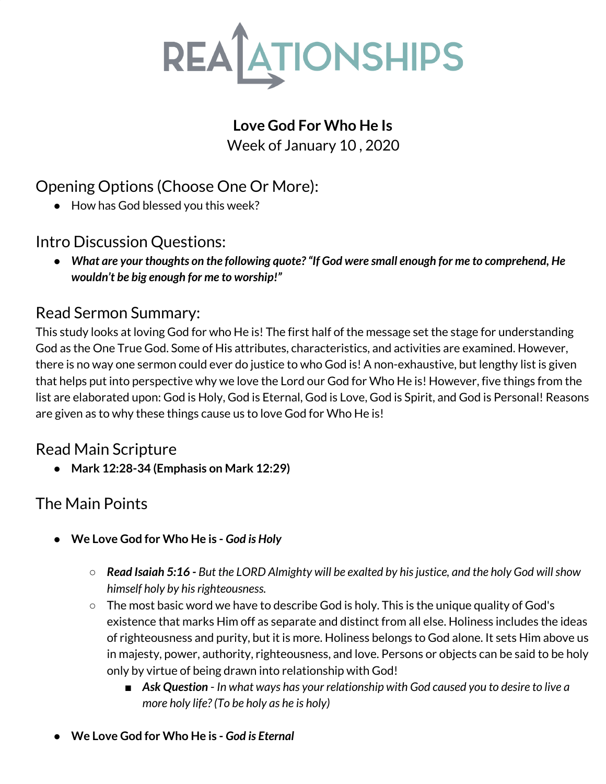

## **Love God For Who He Is**

Week of January 10 , 2020

# Opening Options (Choose One Or More):

● How has God blessed you this week?

Intro Discussion Questions:

*● What are your thoughts on the following quote?"If God were small enough for me to comprehend, He wouldn't be big enough for me to worship!"*

## Read Sermon Summary:

This study looks at loving God for who He is! The first half of the message set the stage for understanding God as the One True God. Some of His attributes, characteristics, and activities are examined. However, there is no way one sermon could ever do justice to who God is! A non-exhaustive, but lengthy list is given that helps put into perspective why we love the Lord our God for Who He is! However, five things from the list are elaborated upon: God is Holy, God is Eternal, God is Love, God is Spirit, and God is Personal! Reasons are given as to why these things cause us to love God for Who He is!

## Read Main Scripture

**● Mark 12:28-34 (Emphasis on Mark 12:29)**

# The Main Points

- **● We Love God for Who He is -** *God is Holy*
	- $\circ$  Read Isaiah 5:16 But the LORD Almighty will be exalted by his justice, and the holy God will show *himself holy by hisrighteousness.*
	- The most basic word we have to describe God is holy. This is the unique quality of God's existence that marks Him off as separate and distinct from all else. Holiness includes the ideas of righteousness and purity, but it is more. Holiness belongs to God alone. It sets Him above us in majesty, power, authority, righteousness, and love. Persons or objects can be said to be holy only by virtue of being drawn into relationship with God!
		- *Ask Question In what ways has your relationship with God caused you to desire to live a more holy life? (To be holy as he is holy)*
- **● We Love God for Who He is -** *God is Eternal*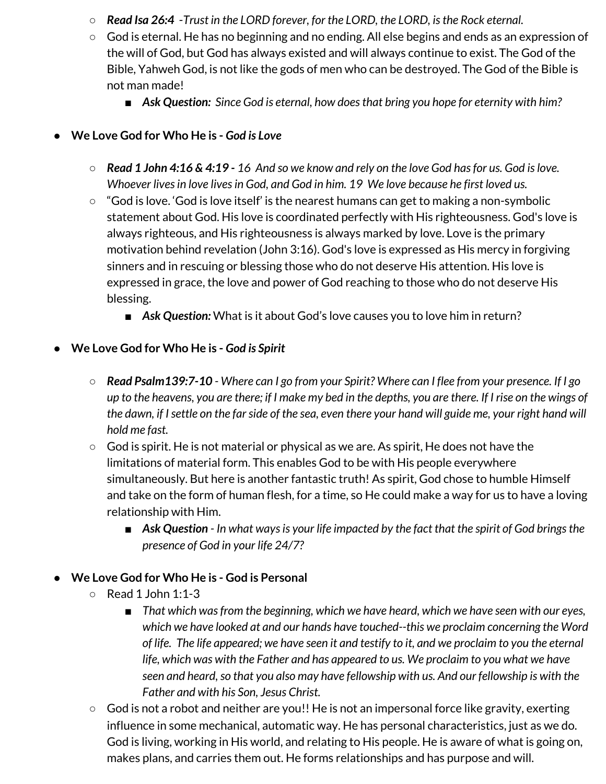- *Read Isa 26:4* -*Trust in the LORD forever, for the LORD, the LORD, isthe Rock eternal.*
- God is eternal. He has no beginning and no ending. All else begins and ends as an expression of the will of God, but God has always existed and will always continue to exist. The God of the Bible, Yahweh God, is not like the gods of men who can be destroyed. The God of the Bible is not man made!
	- *■ Ask Question: Since God is eternal, how doesthat bring you hope for eternity with him?*

### **● We Love God for Who He is -** *God is Love*

- $\circ$  Read 1 John 4:16 & 4:19 16 And so we know and rely on the love God has for us. God is love. *Whoever livesin love livesin God, and God in him. 19 We love because he first loved us.*
- **○** "God is love. 'God is love itself' is the nearest humans can get to making a non-symbolic statement about God. His love is coordinated perfectly with His righteousness. God's love is always righteous, and His righteousness is always marked by love. Love is the primary motivation behind revelation (John 3:16). God's love is expressed as His mercy in forgiving sinners and in rescuing or blessing those who do not deserve His attention. His love is expressed in grace, the love and power of God reaching to those who do not deserve His blessing.
	- Ask Question: What is it about God's love causes you to love him in return?
- **● We Love God for Who He is -** *God is Spirit*
	- $\circ$  Read Psalm 139:7-10 Where can I go from your Spirit? Where can I flee from your presence. If I go up to the heavens, you are there; if I make my bed in the depths, you are there. If I rise on the wings of the dawn, if I settle on the far side of the sea, even there your hand will guide me, your right hand will *hold me fast.*
	- **○** God is spirit. He is not material or physical as we are. As spirit, He does not have the limitations of material form. This enables God to be with His people everywhere simultaneously. But here is another fantastic truth! As spirit, God chose to humble Himself and take on the form of human flesh, for a time, so He could make a way for us to have a loving relationship with Him.
		- Ask Question In what ways is your life impacted by the fact that the spirit of God brings the *presence of God in your life 24/7?*

#### **● We Love God for Who He is - God is Personal**

- $\circ$  Read 1 John 1:1-3
	- *■ That which wasfrom the beginning, which we have heard, which we have seen with our eyes, which we have looked at and our hands have touched--this we proclaim concerning the Word* of life. The life appeared; we have seen it and testify to it, and we proclaim to you the eternal *life, which was with the Father and has appeared to us. We proclaim to you what we have seen and heard,so that you also may have fellowship with us. And our fellowship is with the Father and with his Son, Jesus Christ.*
- *○* God is not a robot and neither are you!! He is not an impersonal force like gravity, exerting influence in some mechanical, automatic way. He has personal characteristics, just as we do. God is living, working in His world, and relating to His people. He is aware of what is going on, makes plans, and carries them out. He forms relationships and has purpose and will.